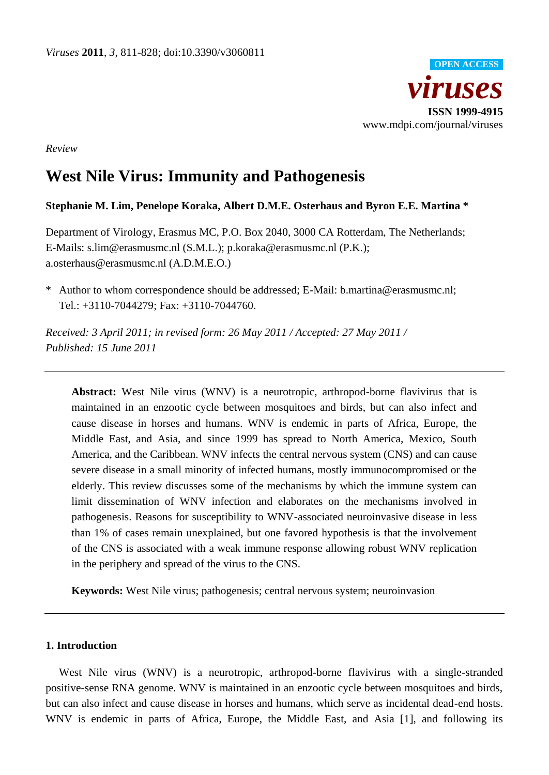

*Review*

# **West Nile Virus: Immunity and Pathogenesis**

# **Stephanie M. Lim, Penelope Koraka, Albert D.M.E. Osterhaus and Byron E.E. Martina \***

Department of Virology, Erasmus MC, P.O. Box 2040, 3000 CA Rotterdam, The Netherlands; E-Mails: s.lim@erasmusmc.nl (S.M.L.); p.koraka@erasmusmc.nl (P.K.); a.osterhaus@erasmusmc.nl (A.D.M.E.O.)

\* Author to whom correspondence should be addressed; E-Mail: b.martina@erasmusmc.nl; Tel.: +3110-7044279; Fax: +3110-7044760.

*Received: 3 April 2011; in revised form: 26 May 2011 / Accepted: 27 May 2011 / Published: 15 June 2011*

**Abstract:** West Nile virus (WNV) is a neurotropic, arthropod-borne flavivirus that is maintained in an enzootic cycle between mosquitoes and birds, but can also infect and cause disease in horses and humans. WNV is endemic in parts of Africa, Europe, the Middle East, and Asia, and since 1999 has spread to North America, Mexico, South America, and the Caribbean. WNV infects the central nervous system (CNS) and can cause severe disease in a small minority of infected humans, mostly immunocompromised or the elderly. This review discusses some of the mechanisms by which the immune system can limit dissemination of WNV infection and elaborates on the mechanisms involved in pathogenesis. Reasons for susceptibility to WNV-associated neuroinvasive disease in less than 1% of cases remain unexplained, but one favored hypothesis is that the involvement of the CNS is associated with a weak immune response allowing robust WNV replication in the periphery and spread of the virus to the CNS.

**Keywords:** West Nile virus; pathogenesis; central nervous system; neuroinvasion

# **1. Introduction**

West Nile virus (WNV) is a neurotropic, arthropod-borne flavivirus with a single-stranded positive-sense RNA genome. WNV is maintained in an enzootic cycle between mosquitoes and birds, but can also infect and cause disease in horses and humans, which serve as incidental dead-end hosts. WNV is endemic in parts of Africa, Europe, the Middle East, and Asia [1], and following its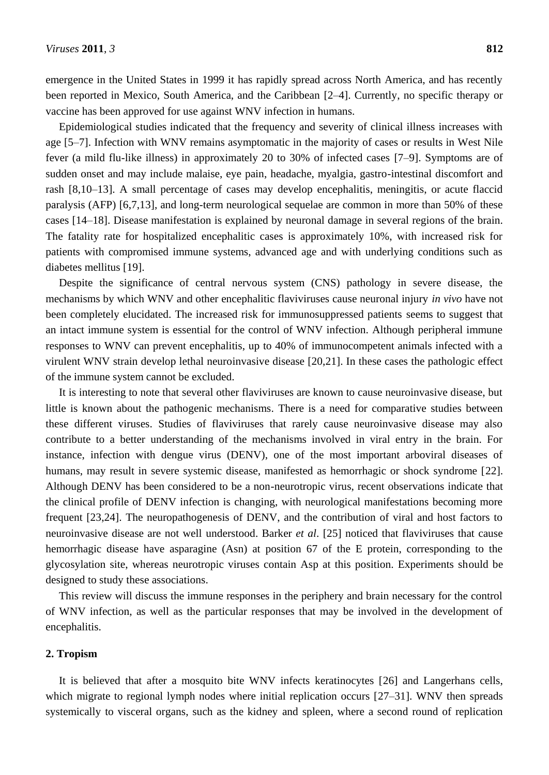emergence in the United States in 1999 it has rapidly spread across North America, and has recently been reported in Mexico, South America, and the Caribbean [2–4]. Currently, no specific therapy or vaccine has been approved for use against WNV infection in humans.

Epidemiological studies indicated that the frequency and severity of clinical illness increases with age [5–7]. Infection with WNV remains asymptomatic in the majority of cases or results in West Nile fever (a mild flu-like illness) in approximately 20 to 30% of infected cases [7–9]. Symptoms are of sudden onset and may include malaise, eye pain, headache, myalgia, gastro-intestinal discomfort and rash [8,10–13]. A small percentage of cases may develop encephalitis, meningitis, or acute flaccid paralysis (AFP) [6,7,13], and long-term neurological sequelae are common in more than 50% of these cases [14–18]. Disease manifestation is explained by neuronal damage in several regions of the brain. The fatality rate for hospitalized encephalitic cases is approximately 10%, with increased risk for patients with compromised immune systems, advanced age and with underlying conditions such as diabetes mellitus [19].

Despite the significance of central nervous system (CNS) pathology in severe disease, the mechanisms by which WNV and other encephalitic flaviviruses cause neuronal injury *in vivo* have not been completely elucidated. The increased risk for immunosuppressed patients seems to suggest that an intact immune system is essential for the control of WNV infection. Although peripheral immune responses to WNV can prevent encephalitis, up to 40% of immunocompetent animals infected with a virulent WNV strain develop lethal neuroinvasive disease [20,21]. In these cases the pathologic effect of the immune system cannot be excluded.

It is interesting to note that several other flaviviruses are known to cause neuroinvasive disease, but little is known about the pathogenic mechanisms. There is a need for comparative studies between these different viruses. Studies of flaviviruses that rarely cause neuroinvasive disease may also contribute to a better understanding of the mechanisms involved in viral entry in the brain. For instance, infection with dengue virus (DENV), one of the most important arboviral diseases of humans, may result in severe systemic disease, manifested as hemorrhagic or shock syndrome [22]. Although DENV has been considered to be a non-neurotropic virus, recent observations indicate that the clinical profile of DENV infection is changing, with neurological manifestations becoming more frequent [23,24]. The neuropathogenesis of DENV, and the contribution of viral and host factors to neuroinvasive disease are not well understood. Barker *et al*. [25] noticed that flaviviruses that cause hemorrhagic disease have asparagine (Asn) at position 67 of the E protein, corresponding to the glycosylation site, whereas neurotropic viruses contain Asp at this position. Experiments should be designed to study these associations.

This review will discuss the immune responses in the periphery and brain necessary for the control of WNV infection, as well as the particular responses that may be involved in the development of encephalitis.

### **2. Tropism**

It is believed that after a mosquito bite WNV infects keratinocytes [26] and Langerhans cells, which migrate to regional lymph nodes where initial replication occurs [27–31]. WNV then spreads systemically to visceral organs, such as the kidney and spleen, where a second round of replication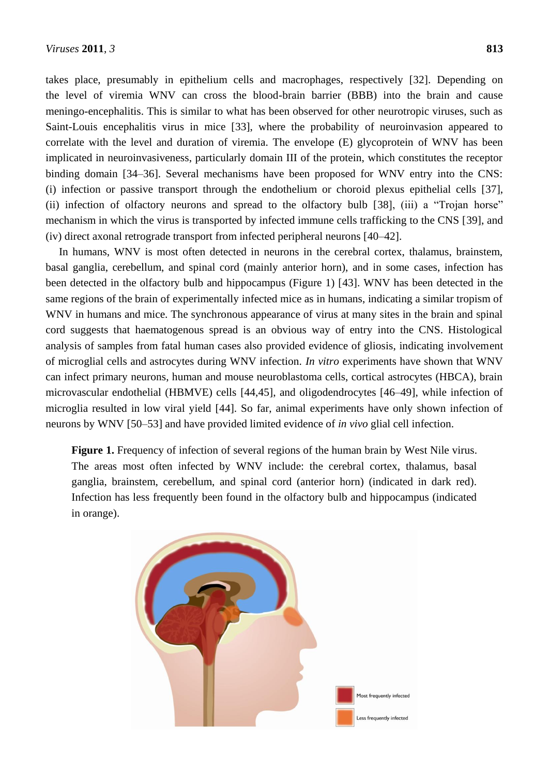takes place, presumably in epithelium cells and macrophages, respectively [32]. Depending on the level of viremia WNV can cross the blood-brain barrier (BBB) into the brain and cause meningo-encephalitis. This is similar to what has been observed for other neurotropic viruses, such as Saint-Louis encephalitis virus in mice [33], where the probability of neuroinvasion appeared to correlate with the level and duration of viremia. The envelope (E) glycoprotein of WNV has been implicated in neuroinvasiveness, particularly domain III of the protein, which constitutes the receptor binding domain [34–36]. Several mechanisms have been proposed for WNV entry into the CNS: (i) infection or passive transport through the endothelium or choroid plexus epithelial cells [37], (ii) infection of olfactory neurons and spread to the olfactory bulb [38], (iii) a "Trojan horse" mechanism in which the virus is transported by infected immune cells trafficking to the CNS [39], and (iv) direct axonal retrograde transport from infected peripheral neurons [40–42].

In humans, WNV is most often detected in neurons in the cerebral cortex, thalamus, brainstem, basal ganglia, cerebellum, and spinal cord (mainly anterior horn), and in some cases, infection has been detected in the olfactory bulb and hippocampus (Figure 1) [43]. WNV has been detected in the same regions of the brain of experimentally infected mice as in humans, indicating a similar tropism of WNV in humans and mice. The synchronous appearance of virus at many sites in the brain and spinal cord suggests that haematogenous spread is an obvious way of entry into the CNS. Histological analysis of samples from fatal human cases also provided evidence of gliosis, indicating involvement of microglial cells and astrocytes during WNV infection. *In vitro* experiments have shown that WNV can infect primary neurons, human and mouse neuroblastoma cells, cortical astrocytes (HBCA), brain microvascular endothelial (HBMVE) cells [44,45], and oligodendrocytes [46–49], while infection of microglia resulted in low viral yield [44]. So far, animal experiments have only shown infection of neurons by WNV [50–53] and have provided limited evidence of *in vivo* glial cell infection.

Figure 1. Frequency of infection of several regions of the human brain by West Nile virus. The areas most often infected by WNV include: the cerebral cortex, thalamus, basal ganglia, brainstem, cerebellum, and spinal cord (anterior horn) (indicated in dark red). Infection has less frequently been found in the olfactory bulb and hippocampus (indicated in orange).

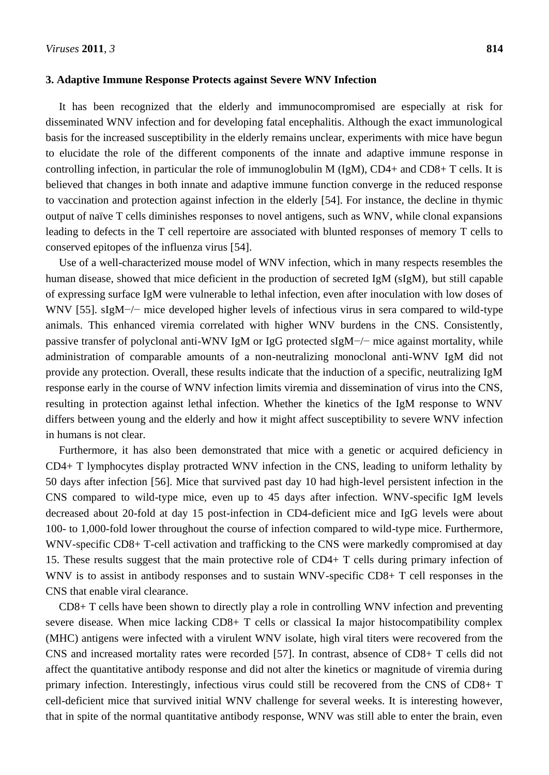#### **3. Adaptive Immune Response Protects against Severe WNV Infection**

It has been recognized that the elderly and immunocompromised are especially at risk for disseminated WNV infection and for developing fatal encephalitis. Although the exact immunological basis for the increased susceptibility in the elderly remains unclear, experiments with mice have begun to elucidate the role of the different components of the innate and adaptive immune response in controlling infection, in particular the role of immunoglobulin M (IgM), CD4+ and CD8+ T cells. It is believed that changes in both innate and adaptive immune function converge in the reduced response to vaccination and protection against infection in the elderly [54]. For instance, the decline in thymic output of naïve T cells diminishes responses to novel antigens, such as WNV, while clonal expansions leading to defects in the T cell repertoire are associated with blunted responses of memory T cells to conserved epitopes of the influenza virus [54].

Use of a well-characterized mouse model of WNV infection, which in many respects resembles the human disease, showed that mice deficient in the production of secreted IgM (sIgM), but still capable of expressing surface IgM were vulnerable to lethal infection, even after inoculation with low doses of WNV [55]. sIgM−/− mice developed higher levels of infectious virus in sera compared to wild-type animals. This enhanced viremia correlated with higher WNV burdens in the CNS. Consistently, passive transfer of polyclonal anti-WNV IgM or IgG protected sIgM−/− mice against mortality, while administration of comparable amounts of a non-neutralizing monoclonal anti-WNV IgM did not provide any protection. Overall, these results indicate that the induction of a specific, neutralizing IgM response early in the course of WNV infection limits viremia and dissemination of virus into the CNS, resulting in protection against lethal infection. Whether the kinetics of the IgM response to WNV differs between young and the elderly and how it might affect susceptibility to severe WNV infection in humans is not clear.

Furthermore, it has also been demonstrated that mice with a genetic or acquired deficiency in CD4+ T lymphocytes display protracted WNV infection in the CNS, leading to uniform lethality by 50 days after infection [56]. Mice that survived past day 10 had high-level persistent infection in the CNS compared to wild-type mice, even up to 45 days after infection. WNV-specific IgM levels decreased about 20-fold at day 15 post-infection in CD4-deficient mice and IgG levels were about 100- to 1,000-fold lower throughout the course of infection compared to wild-type mice. Furthermore, WNV-specific CD8+ T-cell activation and trafficking to the CNS were markedly compromised at day 15. These results suggest that the main protective role of CD4+ T cells during primary infection of WNV is to assist in antibody responses and to sustain WNV-specific CD8+ T cell responses in the CNS that enable viral clearance.

CD8+ T cells have been shown to directly play a role in controlling WNV infection and preventing severe disease. When mice lacking CD8+ T cells or classical Ia major histocompatibility complex (MHC) antigens were infected with a virulent WNV isolate, high viral titers were recovered from the CNS and increased mortality rates were recorded [57]. In contrast, absence of CD8+ T cells did not affect the quantitative antibody response and did not alter the kinetics or magnitude of viremia during primary infection. Interestingly, infectious virus could still be recovered from the CNS of CD8+ T cell-deficient mice that survived initial WNV challenge for several weeks. It is interesting however, that in spite of the normal quantitative antibody response, WNV was still able to enter the brain, even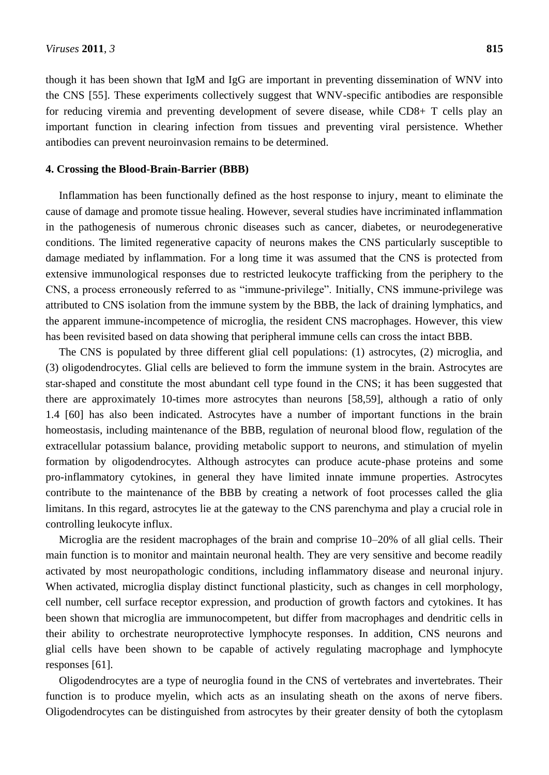though it has been shown that IgM and IgG are important in preventing dissemination of WNV into the CNS [55]. These experiments collectively suggest that WNV-specific antibodies are responsible for reducing viremia and preventing development of severe disease, while CD8+ T cells play an important function in clearing infection from tissues and preventing viral persistence. Whether antibodies can prevent neuroinvasion remains to be determined.

#### **4. Crossing the Blood-Brain-Barrier (BBB)**

Inflammation has been functionally defined as the host response to injury, meant to eliminate the cause of damage and promote tissue healing. However, several studies have incriminated inflammation in the pathogenesis of numerous chronic diseases such as cancer, diabetes, or neurodegenerative conditions. The limited regenerative capacity of neurons makes the CNS particularly susceptible to damage mediated by inflammation. For a long time it was assumed that the CNS is protected from extensive immunological responses due to restricted leukocyte trafficking from the periphery to the CNS, a process erroneously referred to as "immune-privilege". Initially, CNS immune-privilege was attributed to CNS isolation from the immune system by the BBB, the lack of draining lymphatics, and the apparent immune-incompetence of microglia, the resident CNS macrophages. However, this view has been revisited based on data showing that peripheral immune cells can cross the intact BBB.

The CNS is populated by three different glial cell populations: (1) astrocytes, (2) microglia, and (3) oligodendrocytes. Glial cells are believed to form the immune system in the brain. Astrocytes are star-shaped and constitute the most abundant cell type found in the CNS; it has been suggested that there are approximately 10-times more astrocytes than neurons [58,59], although a ratio of only 1.4 [60] has also been indicated. Astrocytes have a number of important functions in the brain homeostasis, including maintenance of the BBB, regulation of neuronal blood flow, regulation of the extracellular potassium balance, providing metabolic support to neurons, and stimulation of myelin formation by oligodendrocytes. Although astrocytes can produce acute-phase proteins and some pro-inflammatory cytokines, in general they have limited innate immune properties. Astrocytes contribute to the maintenance of the BBB by creating a network of foot processes called the glia limitans. In this regard, astrocytes lie at the gateway to the CNS parenchyma and play a crucial role in controlling leukocyte influx.

Microglia are the resident macrophages of the brain and comprise 10–20% of all glial cells. Their main function is to monitor and maintain neuronal health. They are very sensitive and become readily activated by most neuropathologic conditions, including inflammatory disease and neuronal injury. When activated, microglia display distinct functional plasticity, such as changes in cell morphology, cell number, cell surface receptor expression, and production of growth factors and cytokines. It has been shown that microglia are immunocompetent, but differ from macrophages and dendritic cells in their ability to orchestrate neuroprotective lymphocyte responses. In addition, CNS neurons and glial cells have been shown to be capable of actively regulating macrophage and lymphocyte responses [61].

Oligodendrocytes are a type of neuroglia found in the CNS of vertebrates and invertebrates. Their function is to produce myelin, which acts as an insulating sheath on the axons of nerve fibers. Oligodendrocytes can be distinguished from astrocytes by their greater density of both the cytoplasm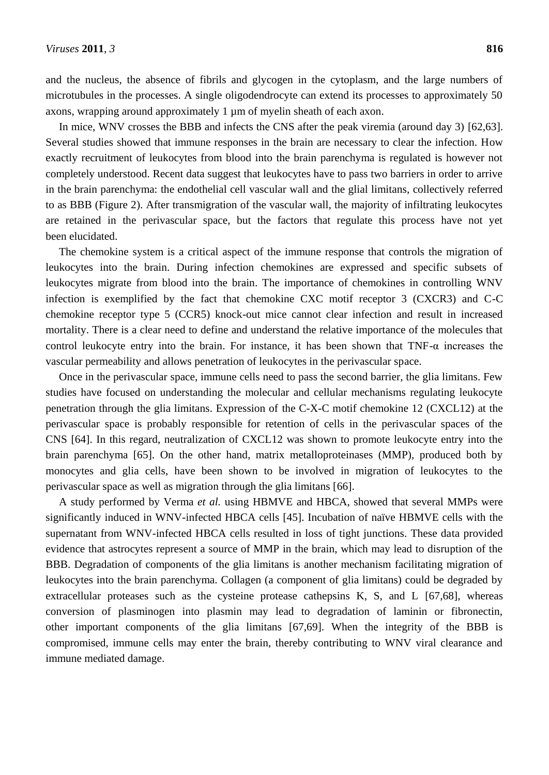and the nucleus, the absence of fibrils and glycogen in the cytoplasm, and the large numbers of microtubules in the processes. A single oligodendrocyte can extend its processes to approximately 50 axons, wrapping around approximately 1 µm of myelin sheath of each axon.

In mice, WNV crosses the BBB and infects the CNS after the peak viremia (around day 3) [62,63]. Several studies showed that immune responses in the brain are necessary to clear the infection. How exactly recruitment of leukocytes from blood into the brain parenchyma is regulated is however not completely understood. Recent data suggest that leukocytes have to pass two barriers in order to arrive in the brain parenchyma: the endothelial cell vascular wall and the glial limitans, collectively referred to as BBB (Figure 2). After transmigration of the vascular wall, the majority of infiltrating leukocytes are retained in the perivascular space, but the factors that regulate this process have not yet been elucidated.

The chemokine system is a critical aspect of the immune response that controls the migration of leukocytes into the brain. During infection chemokines are expressed and specific subsets of leukocytes migrate from blood into the brain. The importance of chemokines in controlling WNV infection is exemplified by the fact that chemokine CXC motif receptor 3 (CXCR3) and C-C chemokine receptor type 5 (CCR5) knock-out mice cannot clear infection and result in increased mortality. There is a clear need to define and understand the relative importance of the molecules that control leukocyte entry into the brain. For instance, it has been shown that  $TNF-\alpha$  increases the vascular permeability and allows penetration of leukocytes in the perivascular space.

Once in the perivascular space, immune cells need to pass the second barrier, the glia limitans. Few studies have focused on understanding the molecular and cellular mechanisms regulating leukocyte penetration through the glia limitans. Expression of the C-X-C motif chemokine 12 (CXCL12) at the perivascular space is probably responsible for retention of cells in the perivascular spaces of the CNS [64]. In this regard, neutralization of CXCL12 was shown to promote leukocyte entry into the brain parenchyma [65]. On the other hand, matrix metalloproteinases (MMP), produced both by monocytes and glia cells, have been shown to be involved in migration of leukocytes to the perivascular space as well as migration through the glia limitans [66].

A study performed by Verma *et al.* using HBMVE and HBCA, showed that several MMPs were significantly induced in WNV-infected HBCA cells [45]. Incubation of naïve HBMVE cells with the supernatant from WNV-infected HBCA cells resulted in loss of tight junctions. These data provided evidence that astrocytes represent a source of MMP in the brain, which may lead to disruption of the BBB. Degradation of components of the glia limitans is another mechanism facilitating migration of leukocytes into the brain parenchyma. Collagen (a component of glia limitans) could be degraded by extracellular proteases such as the cysteine protease cathepsins K, S, and L [67,68], whereas conversion of plasminogen into plasmin may lead to degradation of laminin or fibronectin, other important components of the glia limitans [67,69]. When the integrity of the BBB is compromised, immune cells may enter the brain, thereby contributing to WNV viral clearance and immune mediated damage.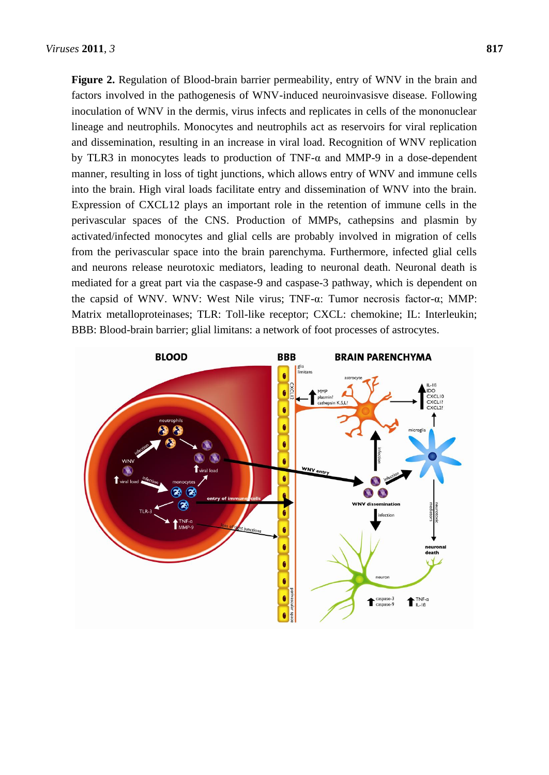**Figure 2.** Regulation of Blood-brain barrier permeability, entry of WNV in the brain and factors involved in the pathogenesis of WNV-induced neuroinvasisve disease. Following inoculation of WNV in the dermis, virus infects and replicates in cells of the mononuclear lineage and neutrophils. Monocytes and neutrophils act as reservoirs for viral replication and dissemination, resulting in an increase in viral load. Recognition of WNV replication by TLR3 in monocytes leads to production of TNF- $\alpha$  and MMP-9 in a dose-dependent manner, resulting in loss of tight junctions, which allows entry of WNV and immune cells into the brain. High viral loads facilitate entry and dissemination of WNV into the brain. Expression of CXCL12 plays an important role in the retention of immune cells in the perivascular spaces of the CNS. Production of MMPs, cathepsins and plasmin by activated/infected monocytes and glial cells are probably involved in migration of cells from the perivascular space into the brain parenchyma. Furthermore, infected glial cells and neurons release neurotoxic mediators, leading to neuronal death. Neuronal death is mediated for a great part via the caspase-9 and caspase-3 pathway, which is dependent on the capsid of WNV. WNV: West Nile virus; TNF-α: Tumor necrosis factor-α; MMP: Matrix metalloproteinases; TLR: Toll-like receptor; CXCL: chemokine; IL: Interleukin; BBB: Blood-brain barrier; glial limitans: a network of foot processes of astrocytes.

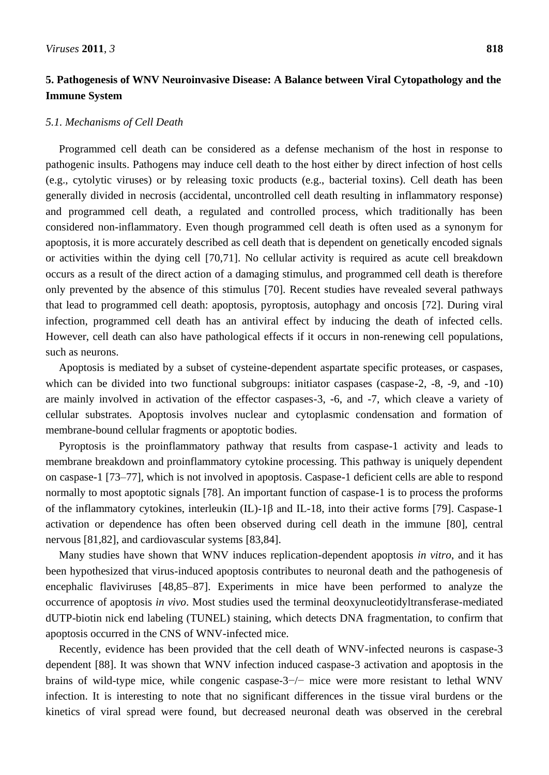# **5. Pathogenesis of WNV Neuroinvasive Disease: A Balance between Viral Cytopathology and the Immune System**

# *5.1. Mechanisms of Cell Death*

Programmed cell death can be considered as a defense mechanism of the host in response to pathogenic insults. Pathogens may induce cell death to the host either by direct infection of host cells (e.g., cytolytic viruses) or by releasing toxic products (e.g., bacterial toxins). Cell death has been generally divided in necrosis (accidental, uncontrolled cell death resulting in inflammatory response) and programmed cell death, a regulated and controlled process, which traditionally has been considered non-inflammatory. Even though programmed cell death is often used as a synonym for apoptosis, it is more accurately described as cell death that is dependent on genetically encoded signals or activities within the dying cell [70,71]. No cellular activity is required as acute cell breakdown occurs as a result of the direct action of a damaging stimulus, and programmed cell death is therefore only prevented by the absence of this stimulus [70]. Recent studies have revealed several pathways that lead to programmed cell death: apoptosis, pyroptosis, autophagy and oncosis [72]. During viral infection, programmed cell death has an antiviral effect by inducing the death of infected cells. However, cell death can also have pathological effects if it occurs in non-renewing cell populations, such as neurons.

Apoptosis is mediated by a subset of cysteine-dependent aspartate specific proteases, or caspases, which can be divided into two functional subgroups: initiator caspases (caspase-2, -8, -9, and -10) are mainly involved in activation of the effector caspases-3, -6, and -7, which cleave a variety of cellular substrates. Apoptosis involves nuclear and cytoplasmic condensation and formation of membrane-bound cellular fragments or apoptotic bodies.

Pyroptosis is the proinflammatory pathway that results from caspase-1 activity and leads to membrane breakdown and proinflammatory cytokine processing. This pathway is uniquely dependent on caspase-1 [73–77], which is not involved in apoptosis. Caspase-1 deficient cells are able to respond normally to most apoptotic signals [78]. An important function of caspase-1 is to process the proforms of the inflammatory cytokines, interleukin (IL)-1β and IL-18, into their active forms [79]. Caspase-1 activation or dependence has often been observed during cell death in the immune [80], central nervous [81,82], and cardiovascular systems [83,84].

Many studies have shown that WNV induces replication-dependent apoptosis *in vitro*, and it has been hypothesized that virus-induced apoptosis contributes to neuronal death and the pathogenesis of encephalic flaviviruses [48,85–87]. Experiments in mice have been performed to analyze the occurrence of apoptosis *in vivo*. Most studies used the terminal deoxynucleotidyltransferase-mediated dUTP-biotin nick end labeling (TUNEL) staining, which detects DNA fragmentation, to confirm that apoptosis occurred in the CNS of WNV-infected mice.

Recently, evidence has been provided that the cell death of WNV-infected neurons is caspase-3 dependent [88]. It was shown that WNV infection induced caspase-3 activation and apoptosis in the brains of wild-type mice, while congenic caspase-3−/− mice were more resistant to lethal WNV infection. It is interesting to note that no significant differences in the tissue viral burdens or the kinetics of viral spread were found, but decreased neuronal death was observed in the cerebral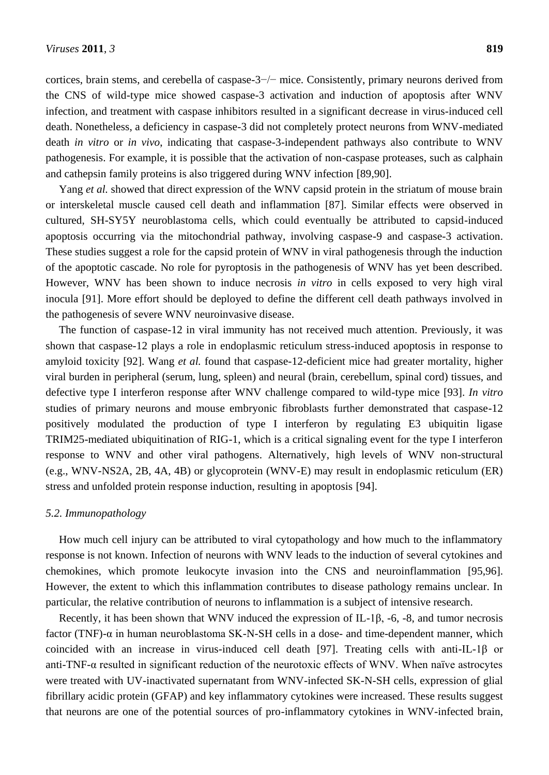cortices, brain stems, and cerebella of caspase-3−/− mice. Consistently, primary neurons derived from the CNS of wild-type mice showed caspase-3 activation and induction of apoptosis after WNV infection, and treatment with caspase inhibitors resulted in a significant decrease in virus-induced cell death. Nonetheless, a deficiency in caspase-3 did not completely protect neurons from WNV-mediated death *in vitro* or *in vivo*, indicating that caspase-3-independent pathways also contribute to WNV pathogenesis. For example, it is possible that the activation of non-caspase proteases, such as calphain and cathepsin family proteins is also triggered during WNV infection [89,90].

Yang *et al.* showed that direct expression of the WNV capsid protein in the striatum of mouse brain or interskeletal muscle caused cell death and inflammation [87]. Similar effects were observed in cultured, SH-SY5Y neuroblastoma cells, which could eventually be attributed to capsid-induced apoptosis occurring via the mitochondrial pathway, involving caspase-9 and caspase-3 activation. These studies suggest a role for the capsid protein of WNV in viral pathogenesis through the induction of the apoptotic cascade. No role for pyroptosis in the pathogenesis of WNV has yet been described. However, WNV has been shown to induce necrosis *in vitro* in cells exposed to very high viral inocula [91]. More effort should be deployed to define the different cell death pathways involved in the pathogenesis of severe WNV neuroinvasive disease.

The function of caspase-12 in viral immunity has not received much attention. Previously, it was shown that caspase-12 plays a role in endoplasmic reticulum stress-induced apoptosis in response to amyloid toxicity [92]. Wang *et al.* found that caspase-12-deficient mice had greater mortality, higher viral burden in peripheral (serum, lung, spleen) and neural (brain, cerebellum, spinal cord) tissues, and defective type I interferon response after WNV challenge compared to wild-type mice [93]. *In vitro* studies of primary neurons and mouse embryonic fibroblasts further demonstrated that caspase-12 positively modulated the production of type I interferon by regulating E3 ubiquitin ligase TRIM25-mediated ubiquitination of RIG-1, which is a critical signaling event for the type I interferon response to WNV and other viral pathogens. Alternatively, high levels of WNV non-structural (e.g., WNV-NS2A, 2B, 4A, 4B) or glycoprotein (WNV-E) may result in endoplasmic reticulum (ER) stress and unfolded protein response induction, resulting in apoptosis [94].

#### *5.2. Immunopathology*

How much cell injury can be attributed to viral cytopathology and how much to the inflammatory response is not known. Infection of neurons with WNV leads to the induction of several cytokines and chemokines, which promote leukocyte invasion into the CNS and neuroinflammation [95,96]. However, the extent to which this inflammation contributes to disease pathology remains unclear. In particular, the relative contribution of neurons to inflammation is a subject of intensive research.

Recently, it has been shown that WNV induced the expression of IL-1 $\beta$ , -6, -8, and tumor necrosis factor (TNF)-α in human neuroblastoma SK-N-SH cells in a dose- and time-dependent manner, which coincided with an increase in virus-induced cell death [97]. Treating cells with anti-IL-1β or anti-TNF-α resulted in significant reduction of the neurotoxic effects of WNV. When naïve astrocytes were treated with UV-inactivated supernatant from WNV-infected SK-N-SH cells, expression of glial fibrillary acidic protein (GFAP) and key inflammatory cytokines were increased. These results suggest that neurons are one of the potential sources of pro-inflammatory cytokines in WNV-infected brain,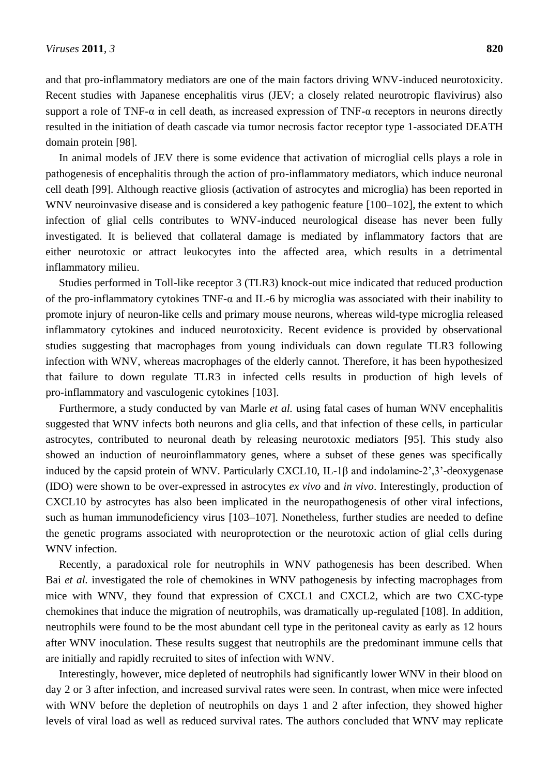and that pro-inflammatory mediators are one of the main factors driving WNV-induced neurotoxicity. Recent studies with Japanese encephalitis virus (JEV; a closely related neurotropic flavivirus) also support a role of TNF-α in cell death, as increased expression of TNF-α receptors in neurons directly resulted in the initiation of death cascade via tumor necrosis factor receptor type 1-associated DEATH domain protein [98].

In animal models of JEV there is some evidence that activation of microglial cells plays a role in pathogenesis of encephalitis through the action of pro-inflammatory mediators, which induce neuronal cell death [99]. Although reactive gliosis (activation of astrocytes and microglia) has been reported in WNV neuroinvasive disease and is considered a key pathogenic feature [100–102], the extent to which infection of glial cells contributes to WNV-induced neurological disease has never been fully investigated. It is believed that collateral damage is mediated by inflammatory factors that are either neurotoxic or attract leukocytes into the affected area, which results in a detrimental inflammatory milieu.

Studies performed in Toll-like receptor 3 (TLR3) knock-out mice indicated that reduced production of the pro-inflammatory cytokines TNF- $\alpha$  and IL-6 by microglia was associated with their inability to promote injury of neuron-like cells and primary mouse neurons, whereas wild-type microglia released inflammatory cytokines and induced neurotoxicity. Recent evidence is provided by observational studies suggesting that macrophages from young individuals can down regulate TLR3 following infection with WNV, whereas macrophages of the elderly cannot. Therefore, it has been hypothesized that failure to down regulate TLR3 in infected cells results in production of high levels of pro-inflammatory and vasculogenic cytokines [103].

Furthermore, a study conducted by van Marle *et al.* using fatal cases of human WNV encephalitis suggested that WNV infects both neurons and glia cells, and that infection of these cells, in particular astrocytes, contributed to neuronal death by releasing neurotoxic mediators [95]. This study also showed an induction of neuroinflammatory genes, where a subset of these genes was specifically induced by the capsid protein of WNV. Particularly CXCL10, IL-1β and indolamine-2',3'-deoxygenase (IDO) were shown to be over-expressed in astrocytes *ex vivo* and *in vivo*. Interestingly, production of CXCL10 by astrocytes has also been implicated in the neuropathogenesis of other viral infections, such as human immunodeficiency virus [103–107]. Nonetheless, further studies are needed to define the genetic programs associated with neuroprotection or the neurotoxic action of glial cells during WNV infection.

Recently, a paradoxical role for neutrophils in WNV pathogenesis has been described. When Bai *et al.* investigated the role of chemokines in WNV pathogenesis by infecting macrophages from mice with WNV, they found that expression of CXCL1 and CXCL2, which are two CXC-type chemokines that induce the migration of neutrophils, was dramatically up-regulated [108]. In addition, neutrophils were found to be the most abundant cell type in the peritoneal cavity as early as 12 hours after WNV inoculation. These results suggest that neutrophils are the predominant immune cells that are initially and rapidly recruited to sites of infection with WNV.

Interestingly, however, mice depleted of neutrophils had significantly lower WNV in their blood on day 2 or 3 after infection, and increased survival rates were seen. In contrast, when mice were infected with WNV before the depletion of neutrophils on days 1 and 2 after infection, they showed higher levels of viral load as well as reduced survival rates. The authors concluded that WNV may replicate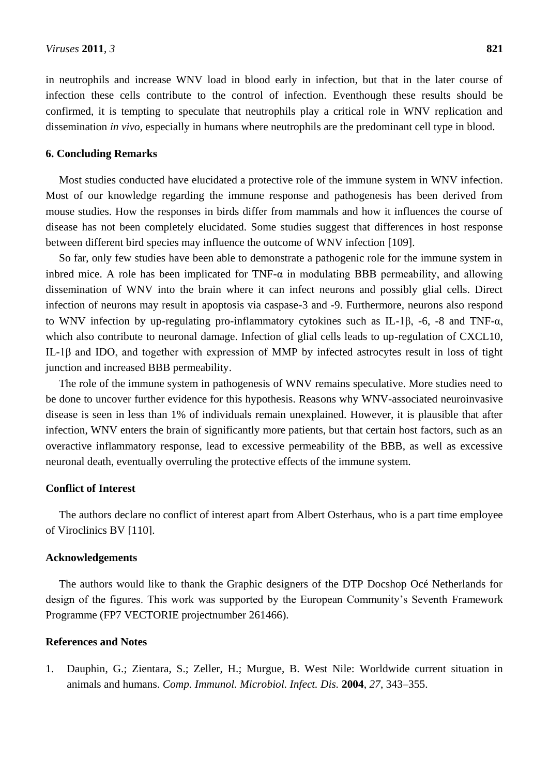in neutrophils and increase WNV load in blood early in infection, but that in the later course of infection these cells contribute to the control of infection. Eventhough these results should be confirmed, it is tempting to speculate that neutrophils play a critical role in WNV replication and dissemination *in vivo*, especially in humans where neutrophils are the predominant cell type in blood.

#### **6. Concluding Remarks**

Most studies conducted have elucidated a protective role of the immune system in WNV infection. Most of our knowledge regarding the immune response and pathogenesis has been derived from mouse studies. How the responses in birds differ from mammals and how it influences the course of disease has not been completely elucidated. Some studies suggest that differences in host response between different bird species may influence the outcome of WNV infection [109].

So far, only few studies have been able to demonstrate a pathogenic role for the immune system in inbred mice. A role has been implicated for TNF- $\alpha$  in modulating BBB permeability, and allowing dissemination of WNV into the brain where it can infect neurons and possibly glial cells. Direct infection of neurons may result in apoptosis via caspase-3 and -9. Furthermore, neurons also respond to WNV infection by up-regulating pro-inflammatory cytokines such as IL-1β, -6, -8 and TNF- $\alpha$ , which also contribute to neuronal damage. Infection of glial cells leads to up-regulation of CXCL10, IL-1β and IDO, and together with expression of MMP by infected astrocytes result in loss of tight junction and increased BBB permeability.

The role of the immune system in pathogenesis of WNV remains speculative. More studies need to be done to uncover further evidence for this hypothesis. Reasons why WNV-associated neuroinvasive disease is seen in less than 1% of individuals remain unexplained. However, it is plausible that after infection, WNV enters the brain of significantly more patients, but that certain host factors, such as an overactive inflammatory response, lead to excessive permeability of the BBB, as well as excessive neuronal death, eventually overruling the protective effects of the immune system.

# **Conflict of Interest**

The authors declare no conflict of interest apart from Albert Osterhaus, who is a part time employee of Viroclinics BV [110].

#### **Acknowledgements**

The authors would like to thank the Graphic designers of the DTP Docshop Océ Netherlands for design of the figures. This work was supported by the European Community's Seventh Framework Programme (FP7 VECTORIE projectnumber 261466).

# **References and Notes**

1. Dauphin, G.; Zientara, S.; Zeller, H.; Murgue, B. West Nile: Worldwide current situation in animals and humans. *Comp. Immunol. Microbiol. Infect. Dis.* **2004**, *27*, 343–355.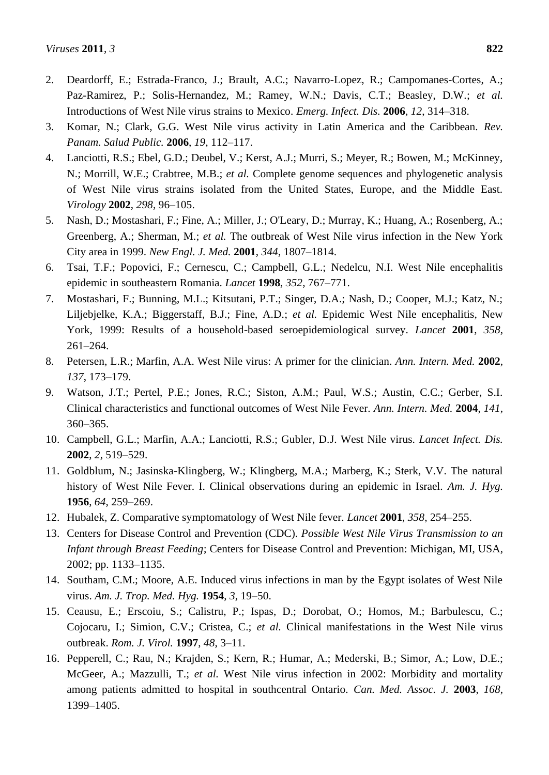- 2. Deardorff, E.; Estrada-Franco, J.; Brault, A.C.; Navarro-Lopez, R.; Campomanes-Cortes, A.; Paz-Ramirez, P.; Solis-Hernandez, M.; Ramey, W.N.; Davis, C.T.; Beasley, D.W.; *et al.* Introductions of West Nile virus strains to Mexico. *Emerg. Infect. Dis.* **2006**, *12*, 314–318.
- 3. Komar, N.; Clark, G.G. West Nile virus activity in Latin America and the Caribbean. *Rev. Panam. Salud Public.* **2006**, *19*, 112–117.
- 4. Lanciotti, R.S.; Ebel, G.D.; Deubel, V.; Kerst, A.J.; Murri, S.; Meyer, R.; Bowen, M.; McKinney, N.; Morrill, W.E.; Crabtree, M.B.; *et al.* Complete genome sequences and phylogenetic analysis of West Nile virus strains isolated from the United States, Europe, and the Middle East. *Virology* **2002**, *298*, 96–105.
- 5. Nash, D.; Mostashari, F.; Fine, A.; Miller, J.; O'Leary, D.; Murray, K.; Huang, A.; Rosenberg, A.; Greenberg, A.; Sherman, M.; *et al.* The outbreak of West Nile virus infection in the New York City area in 1999. *New Engl. J. Med.* **2001**, *344*, 1807–1814.
- 6. Tsai, T.F.; Popovici, F.; Cernescu, C.; Campbell, G.L.; Nedelcu, N.I. West Nile encephalitis epidemic in southeastern Romania. *Lancet* **1998**, *352*, 767–771.
- 7. Mostashari, F.; Bunning, M.L.; Kitsutani, P.T.; Singer, D.A.; Nash, D.; Cooper, M.J.; Katz, N.; Liljebjelke, K.A.; Biggerstaff, B.J.; Fine, A.D.; *et al.* Epidemic West Nile encephalitis, New York, 1999: Results of a household-based seroepidemiological survey. *Lancet* **2001**, *358*, 261–264.
- 8. Petersen, L.R.; Marfin, A.A. West Nile virus: A primer for the clinician. *Ann. Intern. Med.* **2002**, *137*, 173–179.
- 9. Watson, J.T.; Pertel, P.E.; Jones, R.C.; Siston, A.M.; Paul, W.S.; Austin, C.C.; Gerber, S.I. Clinical characteristics and functional outcomes of West Nile Fever. *Ann. Intern. Med.* **2004**, *141*, 360–365.
- 10. Campbell, G.L.; Marfin, A.A.; Lanciotti, R.S.; Gubler, D.J. West Nile virus. *Lancet Infect. Dis.* **2002**, *2*, 519–529.
- 11. Goldblum, N.; Jasinska-Klingberg, W.; Klingberg, M.A.; Marberg, K.; Sterk, V.V. The natural history of West Nile Fever. I. Clinical observations during an epidemic in Israel. *Am. J. Hyg.* **1956**, *64*, 259–269.
- 12. Hubalek, Z. Comparative symptomatology of West Nile fever. *Lancet* **2001**, *358*, 254–255.
- 13. Centers for Disease Control and Prevention (CDC). *Possible West Nile Virus Transmission to an Infant through Breast Feeding*; Centers for Disease Control and Prevention: Michigan, MI, USA, 2002; pp. 1133–1135.
- 14. Southam, C.M.; Moore, A.E. Induced virus infections in man by the Egypt isolates of West Nile virus. *Am. J. Trop. Med. Hyg.* **1954**, *3*, 19–50.
- 15. Ceausu, E.; Erscoiu, S.; Calistru, P.; Ispas, D.; Dorobat, O.; Homos, M.; Barbulescu, C.; Cojocaru, I.; Simion, C.V.; Cristea, C.; *et al.* Clinical manifestations in the West Nile virus outbreak. *Rom. J. Virol.* **1997**, *48*, 3–11.
- 16. Pepperell, C.; Rau, N.; Krajden, S.; Kern, R.; Humar, A.; Mederski, B.; Simor, A.; Low, D.E.; McGeer, A.; Mazzulli, T.; *et al.* West Nile virus infection in 2002: Morbidity and mortality among patients admitted to hospital in southcentral Ontario. *Can. Med. Assoc. J.* **2003**, *168*, 1399–1405.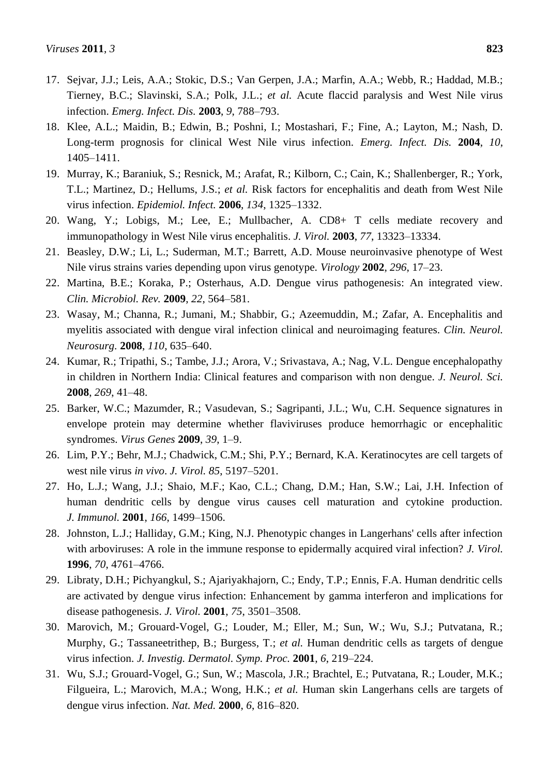- 17. Sejvar, J.J.; Leis, A.A.; Stokic, D.S.; Van Gerpen, J.A.; Marfin, A.A.; Webb, R.; Haddad, M.B.; Tierney, B.C.; Slavinski, S.A.; Polk, J.L.; *et al.* Acute flaccid paralysis and West Nile virus infection. *Emerg. Infect. Dis.* **2003**, *9*, 788–793.
- 18. Klee, A.L.; Maidin, B.; Edwin, B.; Poshni, I.; Mostashari, F.; Fine, A.; Layton, M.; Nash, D. Long-term prognosis for clinical West Nile virus infection. *Emerg. Infect. Dis.* **2004**, *10*, 1405–1411.
- 19. Murray, K.; Baraniuk, S.; Resnick, M.; Arafat, R.; Kilborn, C.; Cain, K.; Shallenberger, R.; York, T.L.; Martinez, D.; Hellums, J.S.; *et al.* Risk factors for encephalitis and death from West Nile virus infection. *Epidemiol. Infect.* **2006**, *134*, 1325–1332.
- 20. Wang, Y.; Lobigs, M.; Lee, E.; Mullbacher, A. CD8+ T cells mediate recovery and immunopathology in West Nile virus encephalitis. *J. Virol.* **2003**, *77*, 13323–13334.
- 21. Beasley, D.W.; Li, L.; Suderman, M.T.; Barrett, A.D. Mouse neuroinvasive phenotype of West Nile virus strains varies depending upon virus genotype. *Virology* **2002**, *296*, 17–23.
- 22. Martina, B.E.; Koraka, P.; Osterhaus, A.D. Dengue virus pathogenesis: An integrated view. *Clin. Microbiol. Rev.* **2009**, *22*, 564–581.
- 23. Wasay, M.; Channa, R.; Jumani, M.; Shabbir, G.; Azeemuddin, M.; Zafar, A. Encephalitis and myelitis associated with dengue viral infection clinical and neuroimaging features. *Clin. Neurol. Neurosurg.* **2008**, *110*, 635–640.
- 24. Kumar, R.; Tripathi, S.; Tambe, J.J.; Arora, V.; Srivastava, A.; Nag, V.L. Dengue encephalopathy in children in Northern India: Clinical features and comparison with non dengue. *J. Neurol. Sci.*  **2008**, *269*, 41–48.
- 25. Barker, W.C.; Mazumder, R.; Vasudevan, S.; Sagripanti, J.L.; Wu, C.H. Sequence signatures in envelope protein may determine whether flaviviruses produce hemorrhagic or encephalitic syndromes. *Virus Genes* **2009**, *39*, 1–9.
- 26. Lim, P.Y.; Behr, M.J.; Chadwick, C.M.; Shi, P.Y.; Bernard, K.A. Keratinocytes are cell targets of west nile virus *in vivo*. *J. Virol. 85*, 5197–5201.
- 27. Ho, L.J.; Wang, J.J.; Shaio, M.F.; Kao, C.L.; Chang, D.M.; Han, S.W.; Lai, J.H. Infection of human dendritic cells by dengue virus causes cell maturation and cytokine production. *J. Immunol.* **2001**, *166*, 1499–1506.
- 28. Johnston, L.J.; Halliday, G.M.; King, N.J. Phenotypic changes in Langerhans' cells after infection with arboviruses: A role in the immune response to epidermally acquired viral infection? *J. Virol.* **1996**, *70*, 4761–4766.
- 29. Libraty, D.H.; Pichyangkul, S.; Ajariyakhajorn, C.; Endy, T.P.; Ennis, F.A. Human dendritic cells are activated by dengue virus infection: Enhancement by gamma interferon and implications for disease pathogenesis. *J. Virol.* **2001**, *75*, 3501–3508.
- 30. Marovich, M.; Grouard-Vogel, G.; Louder, M.; Eller, M.; Sun, W.; Wu, S.J.; Putvatana, R.; Murphy, G.; Tassaneetrithep, B.; Burgess, T.; *et al.* Human dendritic cells as targets of dengue virus infection. *J. Investig. Dermatol. Symp. Proc.* **2001**, *6*, 219–224.
- 31. Wu, S.J.; Grouard-Vogel, G.; Sun, W.; Mascola, J.R.; Brachtel, E.; Putvatana, R.; Louder, M.K.; Filgueira, L.; Marovich, M.A.; Wong, H.K.; *et al.* Human skin Langerhans cells are targets of dengue virus infection. *Nat. Med.* **2000**, *6*, 816–820.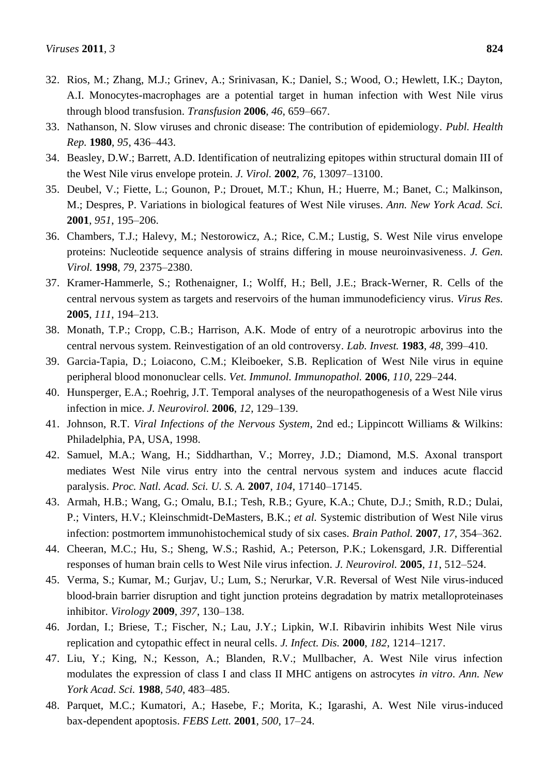- 32. Rios, M.; Zhang, M.J.; Grinev, A.; Srinivasan, K.; Daniel, S.; Wood, O.; Hewlett, I.K.; Dayton, A.I. Monocytes-macrophages are a potential target in human infection with West Nile virus through blood transfusion. *Transfusion* **2006**, *46*, 659–667.
- 33. Nathanson, N. Slow viruses and chronic disease: The contribution of epidemiology. *Publ. Health Rep.* **1980**, *95*, 436–443.
- 34. Beasley, D.W.; Barrett, A.D. Identification of neutralizing epitopes within structural domain III of the West Nile virus envelope protein. *J. Virol.* **2002**, *76*, 13097–13100.
- 35. Deubel, V.; Fiette, L.; Gounon, P.; Drouet, M.T.; Khun, H.; Huerre, M.; Banet, C.; Malkinson, M.; Despres, P. Variations in biological features of West Nile viruses. *Ann. New York Acad. Sci.* **2001**, *951*, 195–206.
- 36. Chambers, T.J.; Halevy, M.; Nestorowicz, A.; Rice, C.M.; Lustig, S. West Nile virus envelope proteins: Nucleotide sequence analysis of strains differing in mouse neuroinvasiveness. *J. Gen. Virol.* **1998**, *79*, 2375–2380.
- 37. Kramer-Hammerle, S.; Rothenaigner, I.; Wolff, H.; Bell, J.E.; Brack-Werner, R. Cells of the central nervous system as targets and reservoirs of the human immunodeficiency virus. *Virus Res.* **2005**, *111*, 194–213.
- 38. Monath, T.P.; Cropp, C.B.; Harrison, A.K. Mode of entry of a neurotropic arbovirus into the central nervous system. Reinvestigation of an old controversy. *Lab. Invest.* **1983**, *48*, 399–410.
- 39. Garcia-Tapia, D.; Loiacono, C.M.; Kleiboeker, S.B. Replication of West Nile virus in equine peripheral blood mononuclear cells. *Vet. Immunol. Immunopathol.* **2006**, *110*, 229–244.
- 40. Hunsperger, E.A.; Roehrig, J.T. Temporal analyses of the neuropathogenesis of a West Nile virus infection in mice. *J. Neurovirol.* **2006**, *12*, 129–139.
- 41. Johnson, R.T. *Viral Infections of the Nervous System*, 2nd ed.; Lippincott Williams & Wilkins: Philadelphia, PA, USA, 1998.
- 42. Samuel, M.A.; Wang, H.; Siddharthan, V.; Morrey, J.D.; Diamond, M.S. Axonal transport mediates West Nile virus entry into the central nervous system and induces acute flaccid paralysis. *Proc. Natl. Acad. Sci. U. S. A.* **2007**, *104*, 17140–17145.
- 43. Armah, H.B.; Wang, G.; Omalu, B.I.; Tesh, R.B.; Gyure, K.A.; Chute, D.J.; Smith, R.D.; Dulai, P.; Vinters, H.V.; Kleinschmidt-DeMasters, B.K.; *et al.* Systemic distribution of West Nile virus infection: postmortem immunohistochemical study of six cases. *Brain Pathol.* **2007**, *17*, 354–362.
- 44. Cheeran, M.C.; Hu, S.; Sheng, W.S.; Rashid, A.; Peterson, P.K.; Lokensgard, J.R. Differential responses of human brain cells to West Nile virus infection. *J. Neurovirol.* **2005**, *11*, 512–524.
- 45. Verma, S.; Kumar, M.; Gurjav, U.; Lum, S.; Nerurkar, V.R. Reversal of West Nile virus-induced blood-brain barrier disruption and tight junction proteins degradation by matrix metalloproteinases inhibitor. *Virology* **2009**, *397*, 130–138.
- 46. Jordan, I.; Briese, T.; Fischer, N.; Lau, J.Y.; Lipkin, W.I. Ribavirin inhibits West Nile virus replication and cytopathic effect in neural cells. *J. Infect. Dis.* **2000**, *182*, 1214–1217.
- 47. Liu, Y.; King, N.; Kesson, A.; Blanden, R.V.; Mullbacher, A. West Nile virus infection modulates the expression of class I and class II MHC antigens on astrocytes *in vitro*. *Ann. New York Acad. Sci.* **1988**, *540*, 483–485.
- 48. Parquet, M.C.; Kumatori, A.; Hasebe, F.; Morita, K.; Igarashi, A. West Nile virus-induced bax-dependent apoptosis. *FEBS Lett.* **2001**, *500*, 17–24.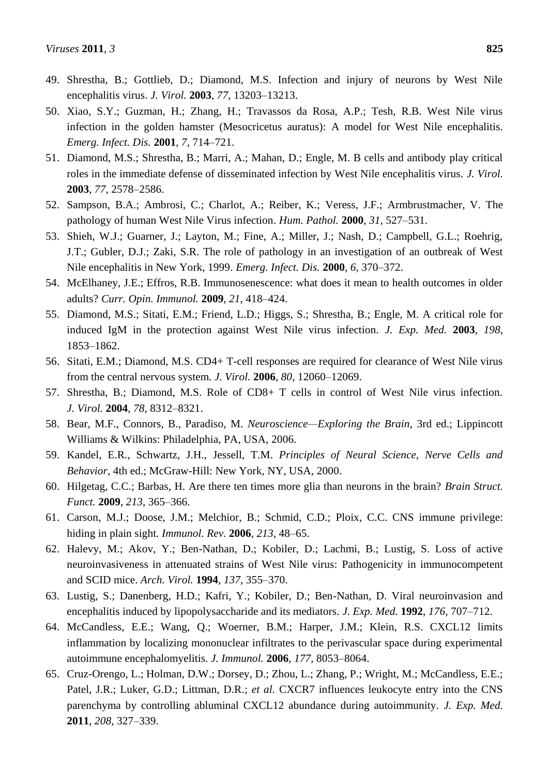- 49. Shrestha, B.; Gottlieb, D.; Diamond, M.S. Infection and injury of neurons by West Nile encephalitis virus. *J. Virol.* **2003**, *77*, 13203–13213.
- 50. Xiao, S.Y.; Guzman, H.; Zhang, H.; Travassos da Rosa, A.P.; Tesh, R.B. West Nile virus infection in the golden hamster (Mesocricetus auratus): A model for West Nile encephalitis. *Emerg. Infect. Dis.* **2001**, *7*, 714–721.
- 51. Diamond, M.S.; Shrestha, B.; Marri, A.; Mahan, D.; Engle, M. B cells and antibody play critical roles in the immediate defense of disseminated infection by West Nile encephalitis virus. *J. Virol.* **2003**, *77*, 2578–2586.
- 52. Sampson, B.A.; Ambrosi, C.; Charlot, A.; Reiber, K.; Veress, J.F.; Armbrustmacher, V. The pathology of human West Nile Virus infection. *Hum. Pathol.* **2000**, *31*, 527–531.
- 53. Shieh, W.J.; Guarner, J.; Layton, M.; Fine, A.; Miller, J.; Nash, D.; Campbell, G.L.; Roehrig, J.T.; Gubler, D.J.; Zaki, S.R. The role of pathology in an investigation of an outbreak of West Nile encephalitis in New York, 1999. *Emerg. Infect. Dis.* **2000**, *6*, 370–372.
- 54. McElhaney, J.E.; Effros, R.B. Immunosenescence: what does it mean to health outcomes in older adults? *Curr. Opin. Immunol.* **2009**, *21*, 418–424.
- 55. Diamond, M.S.; Sitati, E.M.; Friend, L.D.; Higgs, S.; Shrestha, B.; Engle, M. A critical role for induced IgM in the protection against West Nile virus infection. *J. Exp. Med.* **2003**, *198*, 1853–1862.
- 56. Sitati, E.M.; Diamond, M.S. CD4+ T-cell responses are required for clearance of West Nile virus from the central nervous system. *J. Virol.* **2006**, *80*, 12060–12069.
- 57. Shrestha, B.; Diamond, M.S. Role of CD8+ T cells in control of West Nile virus infection. *J. Virol.* **2004**, *78*, 8312–8321.
- 58. Bear, M.F., Connors, B., Paradiso, M. *Neuroscience—Exploring the Brain*, 3rd ed.; Lippincott Williams & Wilkins: Philadelphia, PA, USA, 2006.
- 59. Kandel, E.R., Schwartz, J.H., Jessell, T.M. *Principles of Neural Science, Nerve Cells and Behavior*, 4th ed.; McGraw-Hill: New York, NY, USA, 2000.
- 60. Hilgetag, C.C.; Barbas, H. Are there ten times more glia than neurons in the brain? *Brain Struct. Funct.* **2009**, *213*, 365–366.
- 61. Carson, M.J.; Doose, J.M.; Melchior, B.; Schmid, C.D.; Ploix, C.C. CNS immune privilege: hiding in plain sight. *Immunol. Rev.* **2006**, *213*, 48–65.
- 62. Halevy, M.; Akov, Y.; Ben-Nathan, D.; Kobiler, D.; Lachmi, B.; Lustig, S. Loss of active neuroinvasiveness in attenuated strains of West Nile virus: Pathogenicity in immunocompetent and SCID mice. *Arch. Virol.* **1994**, *137*, 355–370.
- 63. Lustig, S.; Danenberg, H.D.; Kafri, Y.; Kobiler, D.; Ben-Nathan, D. Viral neuroinvasion and encephalitis induced by lipopolysaccharide and its mediators. *J. Exp. Med.* **1992**, *176*, 707–712.
- 64. McCandless, E.E.; Wang, Q.; Woerner, B.M.; Harper, J.M.; Klein, R.S. CXCL12 limits inflammation by localizing mononuclear infiltrates to the perivascular space during experimental autoimmune encephalomyelitis. *J. Immunol.* **2006**, *177*, 8053–8064.
- 65. Cruz-Orengo, L.; Holman, D.W.; Dorsey, D.; Zhou, L.; Zhang, P.; Wright, M.; McCandless, E.E.; Patel, J.R.; Luker, G.D.; Littman, D.R.; *et al.* CXCR7 influences leukocyte entry into the CNS parenchyma by controlling abluminal CXCL12 abundance during autoimmunity. *J. Exp. Med.* **2011**, *208*, 327–339.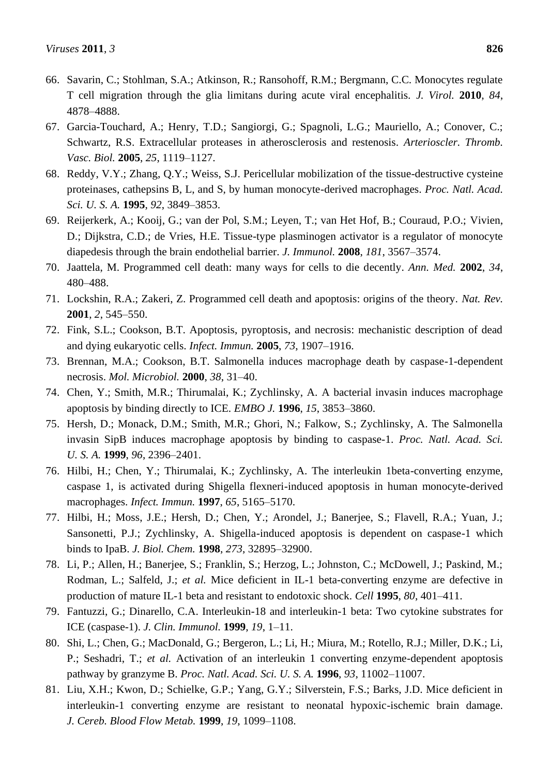- 66. Savarin, C.; Stohlman, S.A.; Atkinson, R.; Ransohoff, R.M.; Bergmann, C.C. Monocytes regulate T cell migration through the glia limitans during acute viral encephalitis. *J. Virol.* **2010**, *84*, 4878–4888.
- 67. Garcia-Touchard, A.; Henry, T.D.; Sangiorgi, G.; Spagnoli, L.G.; Mauriello, A.; Conover, C.; Schwartz, R.S. Extracellular proteases in atherosclerosis and restenosis. *Arterioscler. Thromb. Vasc. Biol.* **2005**, *25*, 1119–1127.
- 68. Reddy, V.Y.; Zhang, Q.Y.; Weiss, S.J. Pericellular mobilization of the tissue-destructive cysteine proteinases, cathepsins B, L, and S, by human monocyte-derived macrophages. *Proc. Natl. Acad. Sci. U. S. A.* **1995**, *92*, 3849–3853.
- 69. Reijerkerk, A.; Kooij, G.; van der Pol, S.M.; Leyen, T.; van Het Hof, B.; Couraud, P.O.; Vivien, D.; Dijkstra, C.D.; de Vries, H.E. Tissue-type plasminogen activator is a regulator of monocyte diapedesis through the brain endothelial barrier. *J. Immunol.* **2008**, *181*, 3567–3574.
- 70. Jaattela, M. Programmed cell death: many ways for cells to die decently. *Ann. Med.* **2002**, *34*, 480–488.
- 71. Lockshin, R.A.; Zakeri, Z. Programmed cell death and apoptosis: origins of the theory. *Nat. Rev.*  **2001**, *2*, 545–550.
- 72. Fink, S.L.; Cookson, B.T. Apoptosis, pyroptosis, and necrosis: mechanistic description of dead and dying eukaryotic cells. *Infect. Immun.* **2005**, *73*, 1907–1916.
- 73. Brennan, M.A.; Cookson, B.T. Salmonella induces macrophage death by caspase-1-dependent necrosis. *Mol. Microbiol.* **2000**, *38*, 31–40.
- 74. Chen, Y.; Smith, M.R.; Thirumalai, K.; Zychlinsky, A. A bacterial invasin induces macrophage apoptosis by binding directly to ICE. *EMBO J.* **1996**, *15*, 3853–3860.
- 75. Hersh, D.; Monack, D.M.; Smith, M.R.; Ghori, N.; Falkow, S.; Zychlinsky, A. The Salmonella invasin SipB induces macrophage apoptosis by binding to caspase-1. *Proc. Natl. Acad. Sci. U. S. A.* **1999**, *96*, 2396–2401.
- 76. Hilbi, H.; Chen, Y.; Thirumalai, K.; Zychlinsky, A. The interleukin 1beta-converting enzyme, caspase 1, is activated during Shigella flexneri-induced apoptosis in human monocyte-derived macrophages. *Infect. Immun.* **1997**, *65*, 5165–5170.
- 77. Hilbi, H.; Moss, J.E.; Hersh, D.; Chen, Y.; Arondel, J.; Banerjee, S.; Flavell, R.A.; Yuan, J.; Sansonetti, P.J.; Zychlinsky, A. Shigella-induced apoptosis is dependent on caspase-1 which binds to IpaB. *J. Biol. Chem.* **1998**, *273*, 32895–32900.
- 78. Li, P.; Allen, H.; Banerjee, S.; Franklin, S.; Herzog, L.; Johnston, C.; McDowell, J.; Paskind, M.; Rodman, L.; Salfeld, J.; *et al.* Mice deficient in IL-1 beta-converting enzyme are defective in production of mature IL-1 beta and resistant to endotoxic shock. *Cell* **1995**, *80*, 401–411.
- 79. Fantuzzi, G.; Dinarello, C.A. Interleukin-18 and interleukin-1 beta: Two cytokine substrates for ICE (caspase-1). *J. Clin. Immunol.* **1999**, *19*, 1–11.
- 80. Shi, L.; Chen, G.; MacDonald, G.; Bergeron, L.; Li, H.; Miura, M.; Rotello, R.J.; Miller, D.K.; Li, P.; Seshadri, T.; *et al.* Activation of an interleukin 1 converting enzyme-dependent apoptosis pathway by granzyme B. *Proc. Natl. Acad. Sci. U. S. A.* **1996**, *93*, 11002–11007.
- 81. Liu, X.H.; Kwon, D.; Schielke, G.P.; Yang, G.Y.; Silverstein, F.S.; Barks, J.D. Mice deficient in interleukin-1 converting enzyme are resistant to neonatal hypoxic-ischemic brain damage. *J. Cereb. Blood Flow Metab.* **1999**, *19*, 1099–1108.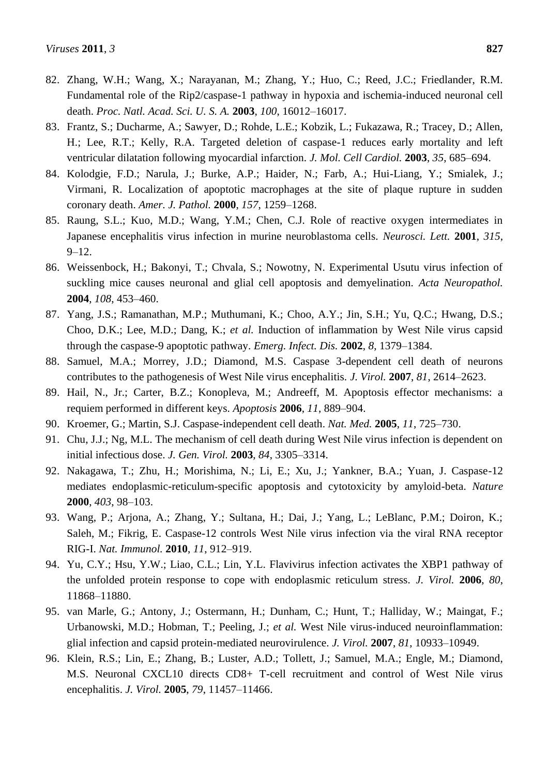- 82. Zhang, W.H.; Wang, X.; Narayanan, M.; Zhang, Y.; Huo, C.; Reed, J.C.; Friedlander, R.M. Fundamental role of the Rip2/caspase-1 pathway in hypoxia and ischemia-induced neuronal cell death. *Proc. Natl. Acad. Sci. U. S. A.* **2003**, *100*, 16012–16017.
- 83. Frantz, S.; Ducharme, A.; Sawyer, D.; Rohde, L.E.; Kobzik, L.; Fukazawa, R.; Tracey, D.; Allen, H.; Lee, R.T.; Kelly, R.A. Targeted deletion of caspase-1 reduces early mortality and left ventricular dilatation following myocardial infarction. *J. Mol. Cell Cardiol.* **2003**, *35*, 685–694.
- 84. Kolodgie, F.D.; Narula, J.; Burke, A.P.; Haider, N.; Farb, A.; Hui-Liang, Y.; Smialek, J.; Virmani, R. Localization of apoptotic macrophages at the site of plaque rupture in sudden coronary death. *Amer. J. Pathol.* **2000**, *157*, 1259–1268.
- 85. Raung, S.L.; Kuo, M.D.; Wang, Y.M.; Chen, C.J. Role of reactive oxygen intermediates in Japanese encephalitis virus infection in murine neuroblastoma cells. *Neurosci. Lett.* **2001**, *315*, 9–12.
- 86. Weissenbock, H.; Bakonyi, T.; Chvala, S.; Nowotny, N. Experimental Usutu virus infection of suckling mice causes neuronal and glial cell apoptosis and demyelination. *Acta Neuropathol.* **2004**, *108*, 453–460.
- 87. Yang, J.S.; Ramanathan, M.P.; Muthumani, K.; Choo, A.Y.; Jin, S.H.; Yu, Q.C.; Hwang, D.S.; Choo, D.K.; Lee, M.D.; Dang, K.; *et al.* Induction of inflammation by West Nile virus capsid through the caspase-9 apoptotic pathway. *Emerg. Infect. Dis.* **2002**, *8*, 1379–1384.
- 88. Samuel, M.A.; Morrey, J.D.; Diamond, M.S. Caspase 3-dependent cell death of neurons contributes to the pathogenesis of West Nile virus encephalitis. *J. Virol.* **2007**, *81*, 2614–2623.
- 89. Hail, N., Jr.; Carter, B.Z.; Konopleva, M.; Andreeff, M. Apoptosis effector mechanisms: a requiem performed in different keys. *Apoptosis* **2006**, *11*, 889–904.
- 90. Kroemer, G.; Martin, S.J. Caspase-independent cell death. *Nat. Med.* **2005**, *11*, 725–730.
- 91. Chu, J.J.; Ng, M.L. The mechanism of cell death during West Nile virus infection is dependent on initial infectious dose. *J. Gen. Virol.* **2003**, *84*, 3305–3314.
- 92. Nakagawa, T.; Zhu, H.; Morishima, N.; Li, E.; Xu, J.; Yankner, B.A.; Yuan, J. Caspase-12 mediates endoplasmic-reticulum-specific apoptosis and cytotoxicity by amyloid-beta. *Nature*  **2000**, *403*, 98–103.
- 93. Wang, P.; Arjona, A.; Zhang, Y.; Sultana, H.; Dai, J.; Yang, L.; LeBlanc, P.M.; Doiron, K.; Saleh, M.; Fikrig, E. Caspase-12 controls West Nile virus infection via the viral RNA receptor RIG-I. *Nat. Immunol.* **2010**, *11*, 912–919.
- 94. Yu, C.Y.; Hsu, Y.W.; Liao, C.L.; Lin, Y.L. Flavivirus infection activates the XBP1 pathway of the unfolded protein response to cope with endoplasmic reticulum stress. *J. Virol.* **2006**, *80*, 11868–11880.
- 95. van Marle, G.; Antony, J.; Ostermann, H.; Dunham, C.; Hunt, T.; Halliday, W.; Maingat, F.; Urbanowski, M.D.; Hobman, T.; Peeling, J.; *et al.* West Nile virus-induced neuroinflammation: glial infection and capsid protein-mediated neurovirulence. *J. Virol.* **2007**, *81*, 10933–10949.
- 96. Klein, R.S.; Lin, E.; Zhang, B.; Luster, A.D.; Tollett, J.; Samuel, M.A.; Engle, M.; Diamond, M.S. Neuronal CXCL10 directs CD8+ T-cell recruitment and control of West Nile virus encephalitis. *J. Virol.* **2005**, *79*, 11457–11466.